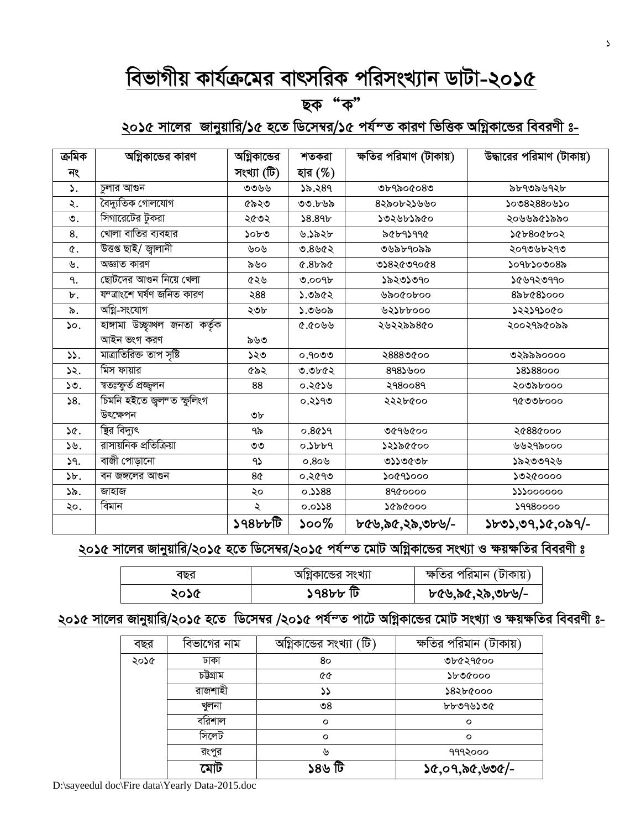## *wefvMxq Kvh©µ‡gi evrmwiK cwimsL¨vb WvUv-2015*

#### ছক "ক"

## ২০১৫ সালে<u>র জানুয়ারি/১৫ হতে ডিসেম্বর/১৫ পর্য $\sim$ ত কারণ ভিত্তিক অগ্নিকান্ডের বিবরণী ঃ-</u>

| ক্ৰমিক          | অগ্নিকান্ডের কারণ                      | অগ্নিকান্ডের   | শতকরা              | ক্ষতির পরিমাণ (টাকায়) | উদ্ধারের পরিমাণ (টাকায়) |
|-----------------|----------------------------------------|----------------|--------------------|------------------------|--------------------------|
| নং              |                                        | সংখ্যা (টি)    | হার (%)            |                        |                          |
| ۵.              | চুলার আগুন                             | ৩৩৬৬           | ১৯.২৪৭             | ৩৮৭৯০৫০৪৩              | ৯৮৭৩৯৬৭২৮                |
| ২.              | বৈদ্যুতিক গোলযোগ                       | ৫৯২৩           | ৩৩.৮৬৯             | ৪২৯০৮২১৬৬০             | ১০৩৪২৪৪০৬১০              |
| ৩.              | সিগারেটের টুকরা                        | ২৫৩২           | 58.89 <sub>b</sub> | ১৩২৬৮১৯৫০              | ২০৬৬৯৫১৯৯০               |
| 8.              | খোলা বাতির ব্যবহার                     | ১০৮৩           | ৬.১৯২৮             | ৯৫৮৭১৭৭৫               | ১৫৮৪০৫৮০২                |
| ¢.              | উত্তপ্ত ছাই/ জ্বালানী                  | ৬০৬            | 9.8962             | ৩৬৯৮৭০৯৯               | ২০৭৩৬৮২৭৩                |
| ৬.              | অজ্ঞাত কারণ                            | ৯৬০            | $&8b$ ৯৫           | 0282009008             | ১০৭৮১০৩০৪৯               |
| ٩.              | ছোটদের আগুন নিয়ে খেলা                 | ৫২৬            | 0.009b             | ১৯২৩১৩৭০               | ১৫৬৭২৩৭৭০                |
| ৮.              | যন্ত্ৰাংশে ঘৰ্ষণ জনিত কারণ             | ২88            | ১.৩৯৫২             | ৩৯০৫০৮০০               | 826682000                |
| ৯.              | অগ্নি-সংযোগ                            | ২৩৮            | ১.৩৬০৯             | ৬২১৮৮০০০               | ১২২১৭১০৫০                |
| $\mathcal{L}$ . | হাঙ্গামা উচ্ছুঙ্খল জনতা কর্তৃক         |                | ৫.৫০৬৬             | ২৬২২৯৯৪৫০              | ২০০২৭৯৫০৯৯               |
|                 | আইন ভংগ করণ                            | ৯৬৩            |                    |                        |                          |
| $\mathcal{L}$ . | মাত্রাতিরিক্ত তাপ সৃষ্টি               | ১২৩            | ୦.৭০৩৩             | ২৪৪৪৩৫০০               | ৩২৯৯৯০০০০                |
| ১২.             | মিস ফায়ার                             | ৫৯২            | ৩.৩৮৫২             | 898                    | \$8\$88000               |
| ১৩.             | ম্বতঃস্ফূৰ্ত প্ৰজ্জুলন                 | 88             | ০.২৫১৬             | २१8००8१                | ২০৩৯৮০০০                 |
| 58.             | চিমনি হইতে জুল <sup>ন</sup> ত স্ফুলিংগ |                | ০.২১৭৩             | ২২২৮৫০০                | ৭৫৩৩৮০০০                 |
|                 | উৎক্ষেপন                               | ৩৮             |                    |                        |                          |
| 3Q.             | ষ্ট্রির বিদ্যুৎ                        | ৭৯             | $0.86$ )9          | ৩৫৭৬৫০০                | ২৫88৫০০০                 |
| ১৬.             | রাসায়নিক প্রতিক্রিয়া                 | ৩৩             | 0.5669             | ১২১৯৫৫০০               | ৬৬২৭৯০০০                 |
| 9.              | বাজী পোড়ানো                           | 95             | 0.809              | ৩১১৩৫৩৮                | ১৯২৩৩৭২৬                 |
| $\mathcal{F}$ . | বন জঙ্গলের আগুন                        | 8 <sub>0</sub> | ০.২৫৭৩             | ১০৫৭১০০০               | ১৩২৫০০০০                 |
| ১৯.             | জাহাজ                                  | ২০             | 0.388              | 8900000                | 222000000                |
| ২০.             | বিমান                                  | ২              | 8                  | ১৫৯৫০০০                | 59980000                 |
|                 |                                        | ১৭৪৮৮টি        | ১০০%               | ৮৫৬.৯৫.২৯.৩৮৬/-        | ১৮৩১,৩৭,১৫,০৯৭/-         |

#### <u>২০১৫ সালের জানুয়ারি/২০১৫ হতে ডিসেম্বর/২০১৫ পর্য $\sim$ ত মোট অগ্নিকান্ডের সংখ্যা ও ক্ষয়ক্ষতির বিবরণী ঃ</u>

| বছর  | আগ্নকান্ডের সংখ্যা | ক্ষতির পরিমান (টাকায়) |
|------|--------------------|------------------------|
| ২০১৫ | ৰ্ট খৰ৪৫ ১         | ৮৫৬,৯৫,২৯,৩৮৬/-        |

#### <u>২০১৫ সালের জানুয়ারি/২০১৫ হতে ডিসেম্বর /২০১৫ পর্য $\sim$ ত পাটে অগ্নিকান্ডের মোট সংখ্যা ও ক্ষয়ক্ষতির বিবরণী ঃ-</u>

| বছর  | বিভাগের নাম | অগ্নিকান্ডের সংখ্যা (টি) | ক্ষতির পরিমান (টাকায়) |
|------|-------------|--------------------------|------------------------|
| ২০১৫ | ঢাকা        | 80                       | ৩৮৫২৭৫০০               |
|      | চউগ্ৰাম     | 64                       | ১৮৩৫০০০                |
|      | রাজশাহী     | ১১                       | ১৪২৮৫০০০               |
|      | খুলনা       | ৩8                       | ৳৮৩৭৬১৩৫               |
|      | বরিশাল      | $\circ$                  | $\circ$                |
|      | সিলেট       | $\circ$                  | $\circ$                |
|      | রংপুর       | ৬                        | १११२०००                |
|      | মোট         | ১৪৬ টি                   | ১৫,০৭,৯৫,৬৩৫/-         |

D:\sayeedul doc\Fire data\Yearly Data-2015.doc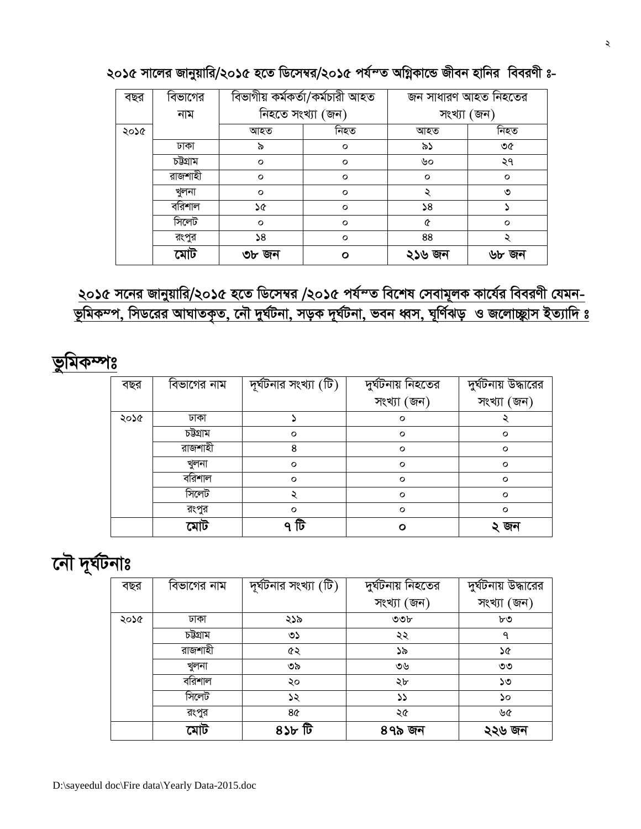| বছর  | বিভাগের |         | বিভাগীয় কৰ্মকৰ্তা/কৰ্মচারী আহত | জন সাধারণ আহত নিহতের |         |
|------|---------|---------|---------------------------------|----------------------|---------|
|      | নাম     |         | নিহতে সংখ্যা (জন)               | সংখ্যা (জন)          |         |
| ২০১৫ |         | আহত     | নিহত                            | আহত                  | নিহত    |
|      | ঢাকা    | ৯       | $\circ$                         | ৯১                   | ৩৫      |
|      | চউগ্ৰাম | $\circ$ | $\circ$                         | ৬০                   | ২৭      |
|      | রাজশাহী | $\circ$ | $\circ$                         | $\circ$              | $\circ$ |
|      | খুলনা   | $\circ$ | $\circ$                         | ২                    | ৩       |
|      | বরিশাল  | ১৫      | $\circ$                         | 58                   |         |
|      | সিলেট   | $\circ$ | $\circ$                         | ৫                    | $\circ$ |
|      | রংপুর   | 58      | $\circ$                         | 88                   |         |
|      | মোট     | ৩৮ জন   | Ο                               | ২১৬ জন               | ৬৮ জন   |

২০১৫ সালের জানুয়ারি/২০১৫ হতে ডিসেম্বর/২০১৫ পর্য $\sim$ ত অগ্নিকান্ডে জীবন হানির বিবরণী ঃ-

## <u>২০১৫ সনের জানুয়ারি/২০১৫ হতে ডিসেম্বর /২০১৫ পর্যন্ত বিশেষ সেবামূলক কার্যের বিবরণী যেমন-</u> *ভূ*মিকম্প, সিডরের আঘাতকৃত, নৌ দুর্ঘটনা, সড়ক দূর্ঘটনা, ভবন ধ্বস, ঘূর্ণিঝড় ও জলোচ্ছ্নাস ইত্যাদি ঃ

*fzwgK¤út*

| বছর  | বিভাগের নাম | দূর্ঘটনার সংখ্যা $(\overline{\mathbb{G}})$ | দুৰ্ঘটনায় নিহতের | দুর্ঘটনায় উদ্ধারের |
|------|-------------|--------------------------------------------|-------------------|---------------------|
|      |             |                                            | সংখ্যা (জন)       | সংখ্যা (জন)         |
| ২০১৫ | ঢাকা        |                                            | $\circ$           |                     |
|      | চউগ্ৰাম     | $\circ$                                    | $\circ$           | $\circ$             |
|      | রাজশাহী     | 8                                          | $\circ$           | $\circ$             |
|      | খুলনা       | $\circ$                                    | $\circ$           | $\circ$             |
|      | বরিশাল      | $\circ$                                    | $\circ$           | $\circ$             |
|      | সিলেট       |                                            | $\circ$           | $\circ$             |
|      | রংপুর       | $\circ$                                    | $\circ$           | $\circ$             |
|      | মোট         | টি<br>Q                                    | n                 | ২ জন                |

## *দেৌ দূৰ্ঘটনাঃ*

| বছর  | বিভাগের নাম | দূর্ঘটনার সংখ্যা $(\widehat{\mathbb{G}})$ | দুৰ্ঘটনায় নিহতের | দুর্ঘটনায় উদ্ধারের |
|------|-------------|-------------------------------------------|-------------------|---------------------|
|      |             |                                           | সংখ্যা (জন)       | সংখ্যা (জন)         |
| ২০১৫ | ঢাকা        | ২১৯                                       | ৩৩৮               | ৮৩                  |
|      | চউগ্ৰাম     | ৩১                                        | ২২                | ٩                   |
|      | রাজশাহী     | ৫২                                        | ১৯                | ১৫                  |
|      | খুলনা       | ৩৯                                        | ৩৬                | ৩৩                  |
|      | বরিশাল      | ২০                                        | ২৮                | ১৩                  |
|      | সিলেট       | ১২                                        | ১১                | ১০                  |
|      | রংপুর       | 8¢                                        | ২৫                | ৬৫                  |
|      | মোট         | টী খ8ে                                    | ৪৭৯ জন            | ২২৬ জন              |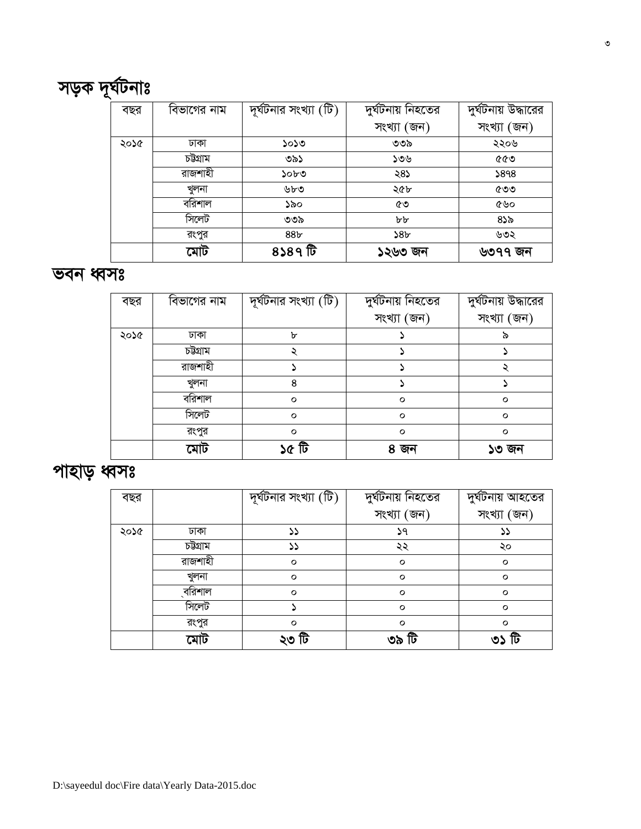| বছর  |         | দূর্ঘটনার সংখ্যা $(\widehat{\mathbb{G}})$ | দুৰ্ঘটনায় নিহতের | দুৰ্ঘটনায় আহতের |
|------|---------|-------------------------------------------|-------------------|------------------|
|      |         |                                           | সংখ্যা (জন)       | সংখ্যা (জন)      |
| ২০১৫ | ঢাকা    | ১১                                        | ১৭                | دد               |
|      | চউগ্ৰাম | ১১                                        | ২২                | ২০               |
|      | রাজশাহী | $\circ$                                   | $\circ$           | $\circ$          |
|      | খুলনা   | $\circ$                                   | $\circ$           | $\circ$          |
|      | ্বরিশাল | $\circ$                                   | $\circ$           | $\circ$          |
|      | সিলেট   |                                           | $\circ$           | $\circ$          |
|      | রংপুর   | $\circ$                                   | $\circ$           | $\circ$          |
|      | মোট     | ২৩ টি                                     | ৩৯ টি             | ৩১ টি            |

## পাহাড় ধ্বসঃ

|      | মোট         | ১৫ টি                 | ৪ জন              | ১৩ জন               |
|------|-------------|-----------------------|-------------------|---------------------|
|      | রংপুর       | $\circ$               | $\circ$           | $\circ$             |
|      | সিলেট       | $\circ$               | $\circ$           | $\circ$             |
|      | বরিশাল      | $\circ$               | $\circ$           | $\circ$             |
|      | খুলনা       | 8                     |                   |                     |
|      | রাজশাহী     |                       |                   |                     |
|      | চউগ্ৰাম     |                       |                   |                     |
| ২০১৫ | ঢাকা        | ᠤ                     |                   |                     |
|      |             |                       | সংখ্যা (জন)       | সংখ্যা (জন)         |
| বছর  | বিভাগের নাম | দূর্ঘটনার সংখ্যা (টি) | দুৰ্ঘটনায় নিহতের | দুর্ঘটনায় উদ্ধারের |

#### *feb aŸmt*

| বছর  | বিভাগের নাম | দূর্ঘটনার সংখ্যা (টি) | দুৰ্ঘটনায় নিহতের | দুর্ঘটনায় উদ্ধারের |
|------|-------------|-----------------------|-------------------|---------------------|
|      |             |                       | সংখ্যা (জন)       | সংখ্যা (জন)         |
| ২০১৫ | ঢাকা        | ১০১৩                  | ৩৩৯               | ২২০৬                |
|      | চউগ্ৰাম     | ৩৯১                   | ১৩৬               | ৫৫৩                 |
|      | রাজশাহী     | ১০৮৩                  | ২৪১               | 5898                |
|      | খুলনা       | ৬৮৩                   | ২৫৮               | ৫৩৩                 |
|      | বরিশাল      | ১৯০                   | ৫৩                | ৫৬০                 |
|      | সিলেট       | ৩৩৯                   | bb                | ৪১৯                 |
|      | রংপুর       | 88 <sub>b</sub>       | 58 <sub>b</sub>   | ৬৩২                 |
|      | মোট         | ৪১৪৭ টি               | ১২৬৩ জন           | ৬৩৭৭ জন             |

# সড়ক দূর্ঘটনাঃ<br>| <sup>বছর</sup> |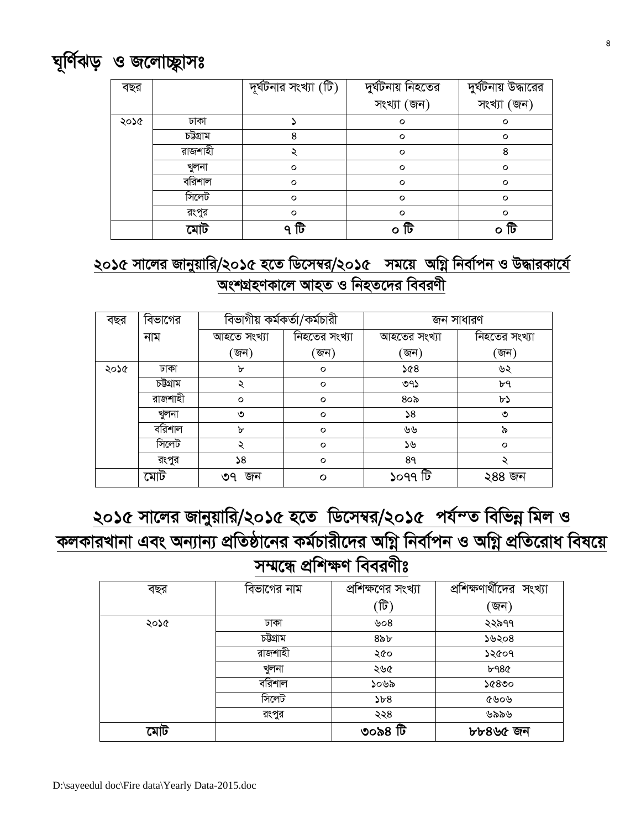

## <u>২০১৫ সালের জানুয়ারি/২০১৫ হতে ডিসেম্বর/২০১৫ সময়ে অগ্নি</u> নির্বাপন ও উদ্ধারকার্যে *AskMÖnYKv‡j AvnZ I wbnZ‡`i weeiYx*

| বছর  | বিভাগের | বিভাগীয় কর্মকর্তা/কর্মচারী |               | জন সাধারণ    |               |
|------|---------|-----------------------------|---------------|--------------|---------------|
|      | নাম     | আহতে সংখ্যা                 | নিহতের সংখ্যা | আহতের সংখ্যা | নিহতের সংখ্যা |
|      |         | (জন)                        | 'জন)          | 'জন)         | 'জন)          |
| ২০১৫ | ঢাকা    | ৮                           | $\circ$       | $8\%$        | ৬২            |
|      | চউগ্ৰাম |                             | $\circ$       | ৩৭১          | ৮৭            |
|      | রাজশাহী | $\circ$                     | $\circ$       | ৪০৯          | ৮১            |
|      | খুলনা   | ৩                           | $\circ$       | $\mathsf{S}$ | ৩             |
|      | বরিশাল  | ৮                           | $\circ$       | ৬৬           | ৯             |
|      | সিলেট   | ২                           | $\circ$       | ১৬           | $\circ$       |
|      | রংপুর   | 58                          | $\circ$       | 8१           |               |
|      | মোট     | ৩৭ জন                       | O             | ১০৭৭ টি      | ২৪৪ জন        |

## *<u>২০১৫ সালের জানুয়ারি/২০১৫ হতে ডিসেম্বর/২০১৫ পর্যন্ত বিভিন্ন মিল ও</u> KjKviLvbv Ges Ab¨vb¨ cÖwZôv‡bi Kg©Pvix‡`i AwMœ wbev©cb I AwMœ cÖwZ‡iva wel‡q*

সম্মন্ধে প্ৰশিক্ষণ বিবরণীঃ

| বছর  | বিভাগের নাম | প্রশিক্ষণের সংখ্যা | প্রশিক্ষণার্থীদের সংখ্যা |
|------|-------------|--------------------|--------------------------|
|      |             | ্টি)               | (জন)                     |
| ২০১৫ | ঢাকা        | ৬০৪                | ২২৯৭৭                    |
|      | চউগ্ৰাম     | $8\delta b$        | ১৬২০৪                    |
|      | রাজশাহী     | ২৫০                | ১২৫০৭                    |
|      | খুলনা       | ২৬৫                | ৮৭৪৫                     |
|      | বরিশাল      | ১০৬৯               | ১৫৪৩০                    |
|      | সিলেট       | 5b8                | ৫৬০৬                     |
|      | রংপুর       | ২২৪                | ৬৯৯৬                     |
| মোট  |             | ৩০৯৪ টি            | ৮৮৪৬৫ জন                 |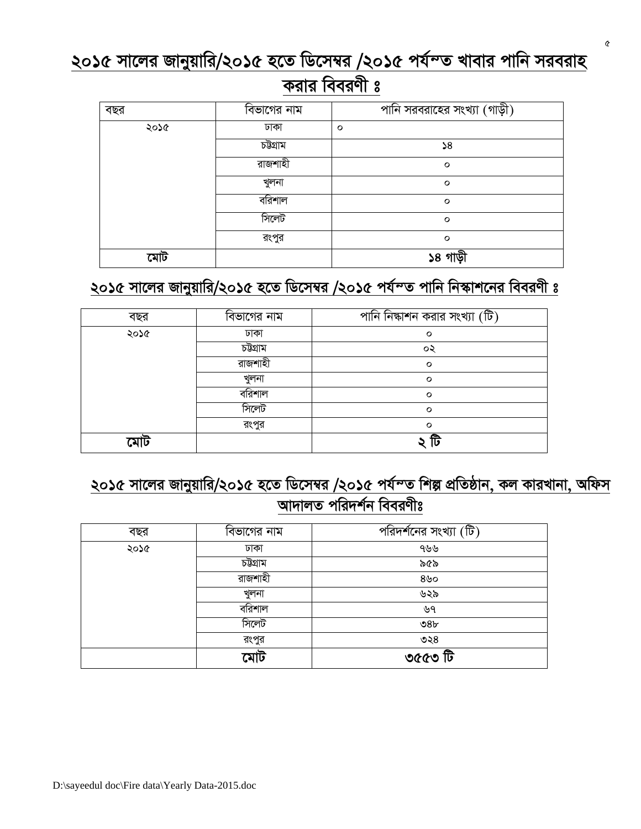<u>২০১৫ সালের জানুয়ারি/২০১৫ হতে ডিসেম্বর /২০১৫ পর্যম্ভ খাবার পানি সরবরাহ</u>

## *ক*রার বিবরণী ঃ

| বছর  | বিভাগের নাম | পানি সরবরাহের সংখ্যা (গাড়ী)       |
|------|-------------|------------------------------------|
| ২০১৫ | ঢাকা        | $\circ$                            |
|      | চউগ্ৰাম     | $\sqrt{8}$                         |
|      | রাজশাহী     | $\circ$                            |
|      | খুলনা       | $\circ$                            |
|      | বরিশাল      | $\circ$                            |
|      | সিলেট       | $\circ$                            |
|      | রংপুর       | $\circ$                            |
|      |             | গাডী<br>$\boldsymbol{\mathcal{S}}$ |

## *2015 mv‡ji Rvbyqvwi/2015 n‡Z wW‡m¤^i /2015 ch©šZ cvwb wb¯‹vk‡bi weeiYx t*

| বছর  | বিভাগের নাম | পানি নিষ্কাশন করার সংখ্যা (টি) |
|------|-------------|--------------------------------|
| ২০১৫ | ঢাকা        | $\circ$                        |
|      | চউগ্ৰাম     | ০২                             |
|      | রাজশাহী     | $\circ$                        |
|      | খুলনা       | $\circ$                        |
|      | বরিশাল      | $\circ$                        |
|      | সিলেট       | $\circ$                        |
|      | রংপুর       | $\circ$                        |
|      |             | lU                             |

## <u>২০১৫ সালের জানুয়ারি/২০১৫ হতে ডিসেম্বর /২০১৫ পর্যন্ত শিল্প প্রতিষ্ঠান, কল কারখানা, অফিস</u> <u>আদালত পরিদর্শন বিবরণীঃ</u>

| বছর  | বিভাগের নাম | পরিদর্শনের সংখ্যা (টি) |
|------|-------------|------------------------|
| ২০১৫ | ঢাকা        | ৭৬৬                    |
|      | চউগ্ৰাম     | ৯৫৯                    |
|      | রাজশাহী     | $8$ ৬০                 |
|      | খুলনা       | ৬২৯                    |
|      | বরিশাল      | ৬৭                     |
|      | সিলেট       | 98 <sub>b</sub>        |
|      | রংপুর       | ৩২৪                    |
|      | মোট         | ত৫৫৩ টি                |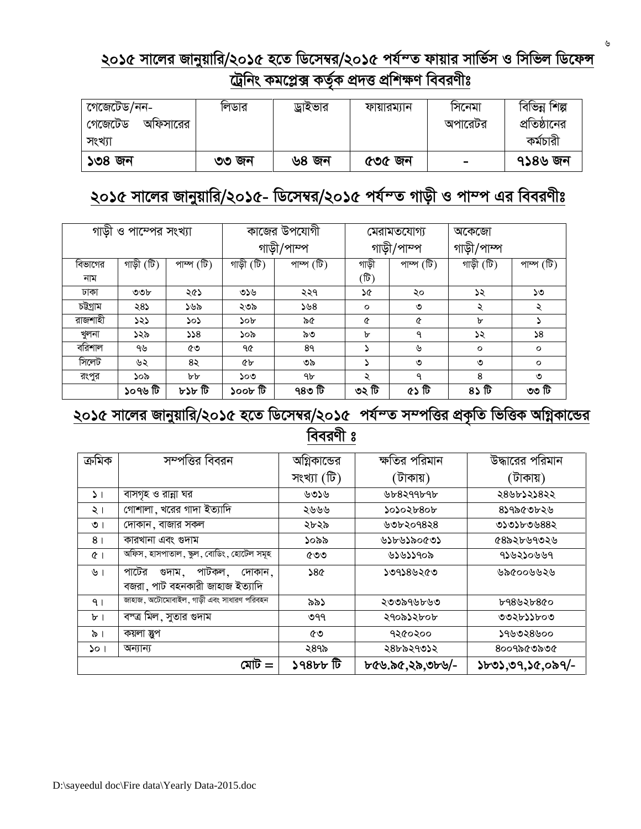#### <u>২০১৫ সালের জানুয়ারি/২০১৫ হতে ডিসেম্বর/২০১৫ পর্যম্ত ফায়ার সার্ভিস ও সিভিল ডিফেন্স</u> <u>ট্রেনিং কমপ্লেক্স কর্তৃক প্রদত্ত প্রশিক্ষণ বিবরণীঃ</u>

| গেজেটেড/নন-        | ালডার | ড্রাইভার | ফায়ারম্যান | াসনেমা         | বিভিন্ন শিল্প |
|--------------------|-------|----------|-------------|----------------|---------------|
| গেজেঢেড<br>আফসারের |       |          |             | অপারেঢর        | প্রতিষ্ঠানের  |
| সংখ্যা             |       |          |             |                | কৰ্মচারী      |
| ১৩৪ জন             | ৩৩ জন | ৬৪ জন    | ৫৩৫ জন      | $\blacksquare$ | ৭১৪৬ জন       |

## *2015 mv‡ji Rvbyqvwi/2015- wW‡m¤^i/2015 ch©šZ Mvox I cv¤c Gi weeiYxt*

|         | গাড়ী ও পাম্পের সংখ্যা |                                           | কাজের উপযোগী  |             | মেরামতযোগ্য |                                           | অকেজো       |                                           |
|---------|------------------------|-------------------------------------------|---------------|-------------|-------------|-------------------------------------------|-------------|-------------------------------------------|
|         |                        |                                           |               | গাড়ী/পাম্প | গাড়ী/পাম্প |                                           | গাড়ী/পাম্প |                                           |
| বিভাগের | গাড়ী (টি)             | পাম্প $(\widehat{\overline{\mathbb{b}}})$ | গাড়ী (টি)    | পাম্প (টি)  | গাড়ী       | পাম্প $(\widehat{\overline{\mathbb{b}}})$ | গাড়ী (টি)  | পাম্প $(\widehat{\overline{\mathbb{U}}})$ |
| নাম     |                        |                                           |               |             | (টি)        |                                           |             |                                           |
| ঢাকা    | ৩৩৮                    | ২৫১                                       | ৩১৬           | ২২৭         | ১৫          | ২০                                        | ১২          | ১৩                                        |
| চউগ্ৰাম | ২৪১                    | ১৬৯                                       | ২৩৯           | ১৬৪         | $\circ$     | ৩                                         | ২           | ২                                         |
| রাজশাহী | ১২১                    | ১০১                                       | ১০৮           | ৯৫          | ৫           | ৫                                         | b           |                                           |
| খলনা    | ১২৯                    | 328                                       | ১০৯           | ৯৩          | ৮           | ٩                                         | ১২          | 58                                        |
| বরিশাল  | ৭৬                     | ৫৩                                        | ৭৫            | 89          |             | ৬                                         | $\circ$     | $\circ$                                   |
| সিলেট   | ৬২                     | 82                                        | <b>&amp;P</b> | ৩৯          |             | ৩                                         | ৩           | $\circ$                                   |
| রংপুর   | ১০৯                    | bb                                        | ১০৩           | ٩b          | ২           | ٩                                         | 8           | ৩                                         |
|         | ১০৭৬ টি                | $b$ ১৮ টি                                 | টী খ০০১       | ৭৪৩ টি      | ৩২ টি       | ৫১ টি                                     | $8\sqrt{5}$ | ৩৩ টি                                     |

## <u>২০১৫ সালের জানুয়ারি/২০১৫ হতে ডিসেম্বর/২০১৫ পর্যম্ভ সম্পত্তির প্রকৃতি ভিত্তিক অগ্নিকান্ডের</u>

**বিবরণী** ঃ

| ক্ৰমিক         | সম্পত্তির বিবরন                                                      | অগ্নিকান্ডের | ক্ষতির পরিমান   | উদ্ধারের পরিমান  |
|----------------|----------------------------------------------------------------------|--------------|-----------------|------------------|
|                |                                                                      | সংখ্যা (টি)  | ্টাকায়)        | ্টাকায়)         |
| $\mathsf{L}$   | বাসগৃহ ও রান্না ঘর                                                   | ৬৩১৬         | ৬৮৪২৭৭৮৭৮       | ২৪৬৮১২১৪২২       |
| ২।             | গোশালা , খরের গাদা ইত্যাদি                                           | ২৬৬৬         | 20205804        | ৪১৭৯৫৩৮২৬        |
| $\circ$        | দোকান, বাজার সকল                                                     | ২৮২৯         | ৬৩৮২০৭৪২৪       | ৩১৩১৮৩৬৪৪২       |
| 8 <sup>1</sup> | কারখানা এবং গুদাম                                                    | ১০৯৯         | ১১৮৬১৯০৫৩১      | ৫৪৯২৮৬৭৩২৬       |
| $\alpha$       | অফিস, হাসন্দাতাল, স্কুল, বোডিং, হোটেল সমূহ                           | ৫৩৩          | ৬১৬১১৭০৯        | ঀ১৬২১০৬৬৭        |
| ৬।             | পাটকল, দোকান,<br>পাটের<br>গুদাম .<br>বজরা, পাট বহনকারী জাহাজ ইত্যাদি | 38           | ১৩৭১৪৬২৫৩       | ৬৯৫০০৬৬২৬        |
| 9 <sub>1</sub> | জাহাজ, অটোমোবাইল, গাড়ী এবং সাধারণ পরিবহন                            | ৯৯১          | ২৩৩৯৭৬৮৬৩       | ৮৭৪৬২৮৪৫০        |
| b <sub>1</sub> | বস্ত্র মিল, সুতার গুদাম                                              | ৩৭৭          | ২৭০৯১২৮০৮       | ৩৩২৮১১৮০৩        |
| $\delta$ 1     | কয়লা স্তুপ                                                          | ৫৩           | ৭২৫০২০০         | ১৭৬৩২৪৬০০        |
| $\mathcal{L}$  | অন্যান্য                                                             | ২৪৭৯         | ২৪৮৯২৭৩১২       | ৪০০৭৯৫৩৯৩৫       |
|                |                                                                      | ৰ্ট খৰ৪৮১    | ৮৫৬.৯৫,২৯,৩৮৬/- | ১৮৩১,৩৭,১৫,০৯৭/- |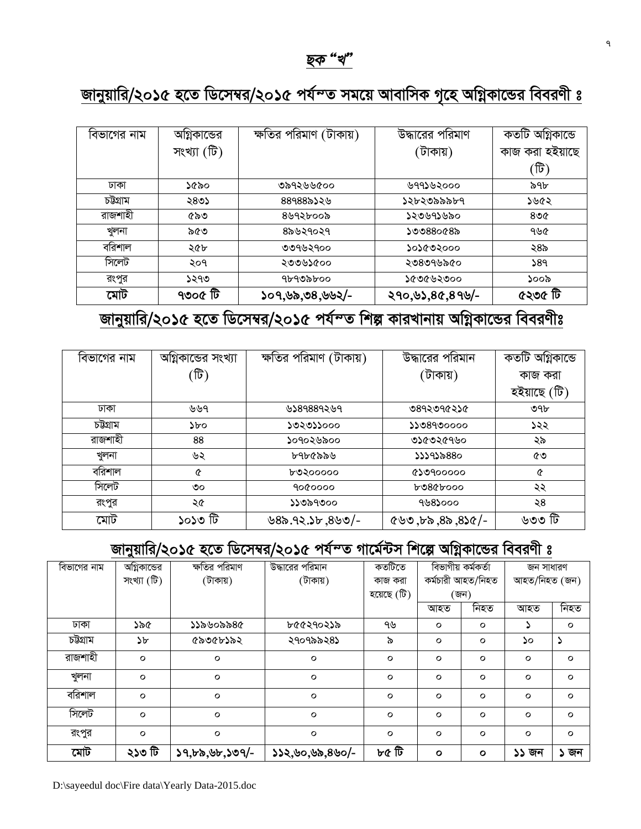

## <u>জানুয়ারি/২০১৫ হতে ডিসেম্বর/২০১৫ পর্যন্ত সময়ে আবাসিক গৃহে অগ্নিকান্ডের বিবরণী ঃ</u>

| বিভাগের নাম | আগ্নকান্ডের | ক্ষতির পরিমাণ<br>াটাকায়) | উদ্ধারের পরিমাণ | কতটি অগ্নিকান্ডে |
|-------------|-------------|---------------------------|-----------------|------------------|
|             | সংখ্যা (টি) |                           | (টাকায়)        | কাজ করা হইয়াছে  |
|             |             |                           |                 | (টি)             |
| ঢাকা        | ১৫৯০        | ৩৯৭২৬৬৫০০                 | ৬৭৭১৬২০০০       | ৯৭৮              |
| চউগ্ৰাম     | ২৪৩১        | ৪৪৭৪৪৯১২৬                 | ১২৮২৩৯৯৯৮৭      | ১৬৫২             |
| রাজশাহী     | ৫৯৩         | ৪৬৭২৮০০৯                  | ১২৩৬৭১৬৯০       | ৪৩৫              |
| খুলনা       | ৯৫৩         | ৪৯৬২৭০২৭                  | ১৩৩৪৪০৫৪৯       | ৭৬৫              |
| বরিশাল      | ২৫৮         | ৩৩৭৬২৭০০                  | ১০১৫৩২০০০       | ২৪৯              |
| সিলেট       | २०१         | ২৩৩৬১৫০০                  | ২৩৪৩৭৬৯৫০       | 589              |
| রংপুর       | ১২৭৩        | ঀ৮ঀ৩৯৮০০                  | ১৫৩৫৬২৩০০       | ১০০৯             |
| মোট         | ৭৩০৫ টি     | ১০৭,৬৯,৩৪,৬৬২/-           | ২৭০,৬১,৪৫,৪৭৬/- | ৫২৩৫ টি          |

## *জানু*য়ারি/২০১৫ হতে ডিসেম্বর/২০১৫ পর্যন্ত শিল্প কারখানায় অগ্নিকান্ডের বিবরণীঃ

| বিভাগের নাম | অগ্নিকান্ডের সংখ্যা | ক্ষতির পরিমাণ (টাকায়) | উদ্ধারের পরিমান            | কৰ্তটি অগ্নিকান্ডে |
|-------------|---------------------|------------------------|----------------------------|--------------------|
|             | (টি)                |                        | (টাকায়)                   | কাজ করা            |
|             |                     |                        |                            | হইয়াছে (টি)       |
| ঢাকা        | ৬৬৭                 | ৬১৪৭৪৪৭২৬৭             | ৩৪৭২৩৭৫২১৫                 | ৩৭৮                |
| চউগ্ৰাম     | ১৮০                 | ১৩২৩১১০০০              | 5508900000                 | ১২২                |
| রাজশাহী     | 88                  | ১০৭০২৬৯০০              | ৩১৫৩২৫৭৬০                  | ২৯                 |
| খুলনা       | ৬২                  | ৮৭৮৫৯৯৬                | ১১১৭১৯৪৪০                  | ৫৩                 |
| বরিশাল      | ৫                   | ৮৩২০০০০০               | $6$ ১৩৭০০০০০               | ৫                  |
| সিলেট       | ৩০                  | 9000000                | $b$ 080booo                | ২২                 |
| রংপুর       | ২৫                  | ১১৩৯৭৩০০               | ৭৬৪১০০০                    | ২৪                 |
| মোট         | ৰ্টী ৩૮০১           | $-$ \c\b, d $\zeta, 9$ | $-\sqrt{28}$ , ৯৪, ৯৭, ৩৬১ | ৬৩৩ টি             |

#### *Rvbyqvwi/2015 n‡Z wW‡m¤^i/2015 ch©šZ Mv‡g©›Um wk‡í AwMœKv‡Ûi weeiYx t*

| বিভাগের নাম | অগ্নিকান্ডের | ক্ষতির পরিমাণ    | উদ্ধারের পরিমান | কতটিতে      | বিভাগীয় কৰ্মকৰ্তা |              | জন সাধারণ     |         |
|-------------|--------------|------------------|-----------------|-------------|--------------------|--------------|---------------|---------|
|             | সংখ্যা (টি)  | (টাকায়)         | (টাকায়)        | কাজ করা     | কৰ্মচারী আহত/নিহত  |              | আহত/নিহত (জন) |         |
|             |              |                  |                 | হয়েছে (টি) | (জন)               |              |               |         |
|             |              |                  |                 |             | আহত                | নিহত         | আহত           | নিহত    |
| ঢাকা        | ১৯৫          | ১১৯৬০৯৯৪৫        | ৮৫৫২৭০২১৯       | ৭৬          | $\circ$            | $\circ$      |               | $\circ$ |
| চউগ্ৰাম     | ১৮           | ৫৯৩৫৮১৯২         | ২৭০৭৯৯২৪১       | ৯           | $\circ$            | o            | ১০            | ډ       |
| রাজশাহী     | $\circ$      | $\circ$          | $\circ$         | $\circ$     | $\circ$            | $\circ$      | $\circ$       | $\circ$ |
| খুলনা       | $\circ$      | $\circ$          | $\circ$         | $\circ$     | $\circ$            | $\circ$      | $\circ$       | $\circ$ |
| বরিশাল      | $\circ$      | $\circ$          | $\circ$         | $\circ$     | $\circ$            | $\circ$      | $\circ$       | $\circ$ |
| সিলেট       | $\circ$      | $\circ$          | $\circ$         | $\circ$     | $\circ$            | $\circ$      | $\circ$       | $\circ$ |
| রংপুর       | $\circ$      | $\circ$          | $\circ$         | $\circ$     | $\circ$            | $\circ$      | $\circ$       | $\circ$ |
| মোট         | ৰ্ঘা ৩૮২     | $59,55,95,509/-$ | ১১২,৬০,৬৯,৪৬০/- | চু ৫ টি     | $\mathbf{o}$       | $\mathbf{o}$ | ১১ জন         | ১ জন    |